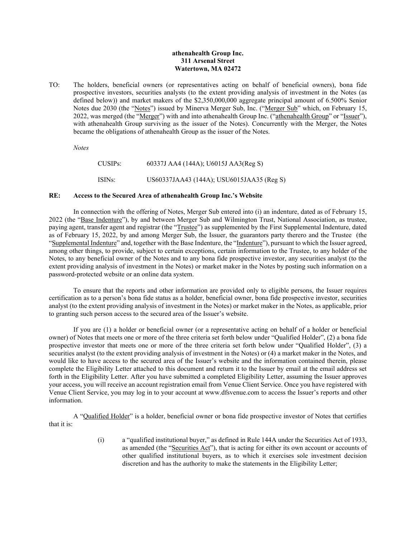# **athenahealth Group Inc. 311 Arsenal Street Watertown, MA 02472**

TO: The holders, beneficial owners (or representatives acting on behalf of beneficial owners), bona fide prospective investors, securities analysts (to the extent providing analysis of investment in the Notes (as defined below)) and market makers of the \$2,350,000,000 aggregate principal amount of 6.500% Senior Notes due 2030 (the "Notes") issued by Minerva Merger Sub, Inc. ("Merger Sub" which, on February 15, 2022, was merged (the "Merger") with and into athenahealth Group Inc. ("athenahealth Group" or "Issuer"), with athenahealth Group surviving as the issuer of the Notes). Concurrently with the Merger, the Notes became the obligations of athenahealth Group as the issuer of the Notes.

*Notes*

CUSIPs: 60337J AA4 (144A); U6015J AA3(Reg S) ISINs: US60337JAA43 (144A); USU6015JAA35 (Reg S)

## **RE: Access to the Secured Area of athenahealth Group Inc.'s Website**

In connection with the offering of Notes, Merger Sub entered into (i) an indenture, dated as of February 15, 2022 (the "Base Indenture"), by and between Merger Sub and Wilmington Trust, National Association, as trustee, paying agent, transfer agent and registrar (the "Trustee") as supplemented by the First Supplemental Indenture, dated as of February 15, 2022, by and among Merger Sub, the Issuer, the guarantors party therero and the Trustee (the "Supplemental Indenture" and, together with the Base Indenture, the "Indenture"), pursuant to which the Issuer agreed, among other things, to provide, subject to certain exceptions, certain information to the Trustee, to any holder of the Notes, to any beneficial owner of the Notes and to any bona fide prospective investor, any securities analyst (to the extent providing analysis of investment in the Notes) or market maker in the Notes by posting such information on a password-protected website or an online data system.

To ensure that the reports and other information are provided only to eligible persons, the Issuer requires certification as to a person's bona fide status as a holder, beneficial owner, bona fide prospective investor, securities analyst (to the extent providing analysis of investment in the Notes) or market maker in the Notes, as applicable, prior to granting such person access to the secured area of the Issuer's website.

If you are (1) a holder or beneficial owner (or a representative acting on behalf of a holder or beneficial owner) of Notes that meets one or more of the three criteria set forth below under "Qualified Holder", (2) a bona fide prospective investor that meets one or more of the three criteria set forth below under "Qualified Holder", (3) a securities analyst (to the extent providing analysis of investment in the Notes) or (4) a market maker in the Notes, and would like to have access to the secured area of the Issuer's website and the information contained therein, please complete the Eligibility Letter attached to this document and return it to the Issuer by email at the email address set forth in the Eligibility Letter. After you have submitted a completed Eligibility Letter, assuming the Issuer approves your access, you will receive an account registration email from Venue Client Service. Once you have registered with Venue Client Service, you may log in to your account at www.dfsvenue.com to access the Issuer's reports and other information.

A "Qualified Holder" is a holder, beneficial owner or bona fide prospective investor of Notes that certifies that it is:

> (i) a "qualified institutional buyer," as defined in Rule 144A under the Securities Act of 1933, as amended (the "Securities Act"), that is acting for either its own account or accounts of other qualified institutional buyers, as to which it exercises sole investment decision discretion and has the authority to make the statements in the Eligibility Letter;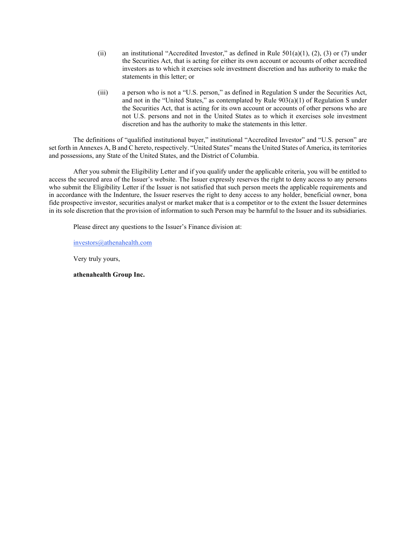- (ii) an institutional "Accredited Investor," as defined in Rule  $501(a)(1)$ , (2), (3) or (7) under the Securities Act, that is acting for either its own account or accounts of other accredited investors as to which it exercises sole investment discretion and has authority to make the statements in this letter; or
- (iii) a person who is not a "U.S. person," as defined in Regulation S under the Securities Act, and not in the "United States," as contemplated by Rule 903(a)(1) of Regulation S under the Securities Act, that is acting for its own account or accounts of other persons who are not U.S. persons and not in the United States as to which it exercises sole investment discretion and has the authority to make the statements in this letter.

The definitions of "qualified institutional buyer," institutional "Accredited Investor" and "U.S. person" are set forth in Annexes A, B and C hereto, respectively. "United States" means the United States of America, its territories and possessions, any State of the United States, and the District of Columbia.

After you submit the Eligibility Letter and if you qualify under the applicable criteria, you will be entitled to access the secured area of the Issuer's website. The Issuer expressly reserves the right to deny access to any persons who submit the Eligibility Letter if the Issuer is not satisfied that such person meets the applicable requirements and in accordance with the Indenture, the Issuer reserves the right to deny access to any holder, beneficial owner, bona fide prospective investor, securities analyst or market maker that is a competitor or to the extent the Issuer determines in its sole discretion that the provision of information to such Person may be harmful to the Issuer and its subsidiaries.

Please direct any questions to the Issuer's Finance division at:

[investors@athenahealth.com](mailto:investors@athenahealth.com)

Very truly yours,

**athenahealth Group Inc.**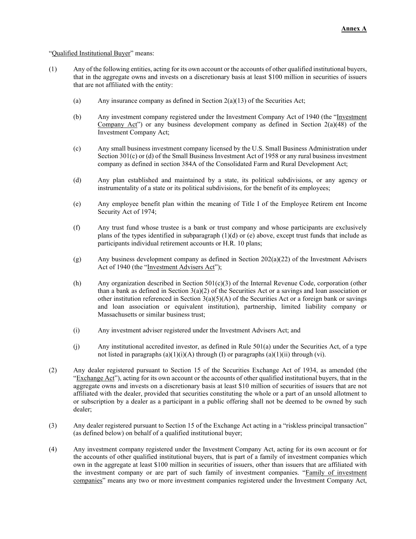## "Qualified Institutional Buyer" means:

- (1) Any of the following entities, acting for its own account or the accounts of other qualified institutional buyers, that in the aggregate owns and invests on a discretionary basis at least \$100 million in securities of issuers that are not affiliated with the entity:
	- (a) Any insurance company as defined in Section 2(a)(13) of the Securities Act;
	- (b) Any investment company registered under the Investment Company Act of 1940 (the "Investment Company Act") or any business development company as defined in Section  $2(a)(48)$  of the Investment Company Act;
	- (c) Any small business investment company licensed by the U.S. Small Business Administration under Section 301(c) or (d) of the Small Business Investment Act of 1958 or any rural business investment company as defined in section 384A of the Consolidated Farm and Rural Development Act;
	- (d) Any plan established and maintained by a state, its political subdivisions, or any agency or instrumentality of a state or its political subdivisions, for the benefit of its employees;
	- (e) Any employee benefit plan within the meaning of Title I of the Employee Retirem ent Income Security Act of 1974;
	- (f) Any trust fund whose trustee is a bank or trust company and whose participants are exclusively plans of the types identified in subparagraph  $(1)(d)$  or (e) above, except trust funds that include as participants individual retirement accounts or H.R. 10 plans;
	- (g) Any business development company as defined in Section 202(a)(22) of the Investment Advisers Act of 1940 (the "Investment Advisers Act");
	- (h) Any organization described in Section 501(c)(3) of the Internal Revenue Code, corporation (other than a bank as defined in Section  $3(a)(2)$  of the Securities Act or a savings and loan association or other institution referenced in Section  $3(a)(5)(A)$  of the Securities Act or a foreign bank or savings and loan association or equivalent institution), partnership, limited liability company or Massachusetts or similar business trust;
	- (i) Any investment adviser registered under the Investment Advisers Act; and
	- (j) Any institutional accredited investor, as defined in Rule 501(a) under the Securities Act, of a type not listed in paragraphs  $(a)(1)(i)(A)$  through (I) or paragraphs  $(a)(1)(ii)$  through (vi).
- (2) Any dealer registered pursuant to Section 15 of the Securities Exchange Act of 1934, as amended (the "Exchange Act"), acting for its own account or the accounts of other qualified institutional buyers, that in the aggregate owns and invests on a discretionary basis at least \$10 million of securities of issuers that are not affiliated with the dealer, provided that securities constituting the whole or a part of an unsold allotment to or subscription by a dealer as a participant in a public offering shall not be deemed to be owned by such dealer;
- (3) Any dealer registered pursuant to Section 15 of the Exchange Act acting in a "riskless principal transaction" (as defined below) on behalf of a qualified institutional buyer;
- (4) Any investment company registered under the Investment Company Act, acting for its own account or for the accounts of other qualified institutional buyers, that is part of a family of investment companies which own in the aggregate at least \$100 million in securities of issuers, other than issuers that are affiliated with the investment company or are part of such family of investment companies. "Family of investment companies" means any two or more investment companies registered under the Investment Company Act,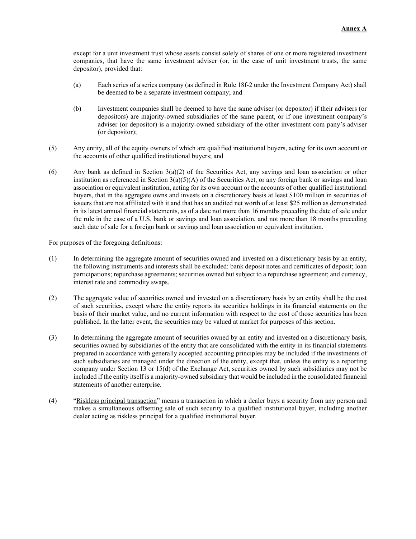except for a unit investment trust whose assets consist solely of shares of one or more registered investment companies, that have the same investment adviser (or, in the case of unit investment trusts, the same depositor), provided that:

- (a) Each series of a series company (as defined in Rule 18f-2 under the Investment Company Act) shall be deemed to be a separate investment company; and
- (b) Investment companies shall be deemed to have the same adviser (or depositor) if their advisers (or depositors) are majority-owned subsidiaries of the same parent, or if one investment company's adviser (or depositor) is a majority-owned subsidiary of the other investment com pany's adviser (or depositor);
- (5) Any entity, all of the equity owners of which are qualified institutional buyers, acting for its own account or the accounts of other qualified institutional buyers; and
- (6) Any bank as defined in Section 3(a)(2) of the Securities Act, any savings and loan association or other institution as referenced in Section  $3(a)(5)(A)$  of the Securities Act, or any foreign bank or savings and loan association or equivalent institution, acting for its own account or the accounts of other qualified institutional buyers, that in the aggregate owns and invests on a discretionary basis at least \$100 million in securities of issuers that are not affiliated with it and that has an audited net worth of at least \$25 million as demonstrated in its latest annual financial statements, as of a date not more than 16 months preceding the date of sale under the rule in the case of a U.S. bank or savings and loan association, and not more than 18 months preceding such date of sale for a foreign bank or savings and loan association or equivalent institution.

For purposes of the foregoing definitions:

- (1) In determining the aggregate amount of securities owned and invested on a discretionary basis by an entity, the following instruments and interests shall be excluded: bank deposit notes and certificates of deposit; loan participations; repurchase agreements; securities owned but subject to a repurchase agreement; and currency, interest rate and commodity swaps.
- (2) The aggregate value of securities owned and invested on a discretionary basis by an entity shall be the cost of such securities, except where the entity reports its securities holdings in its financial statements on the basis of their market value, and no current information with respect to the cost of those securities has been published. In the latter event, the securities may be valued at market for purposes of this section.
- (3) In determining the aggregate amount of securities owned by an entity and invested on a discretionary basis, securities owned by subsidiaries of the entity that are consolidated with the entity in its financial statements prepared in accordance with generally accepted accounting principles may be included if the investments of such subsidiaries are managed under the direction of the entity, except that, unless the entity is a reporting company under Section 13 or 15(d) of the Exchange Act, securities owned by such subsidiaries may not be included if the entity itself is a majority-owned subsidiary that would be included in the consolidated financial statements of another enterprise.
- (4) "Riskless principal transaction" means a transaction in which a dealer buys a security from any person and makes a simultaneous offsetting sale of such security to a qualified institutional buyer, including another dealer acting as riskless principal for a qualified institutional buyer.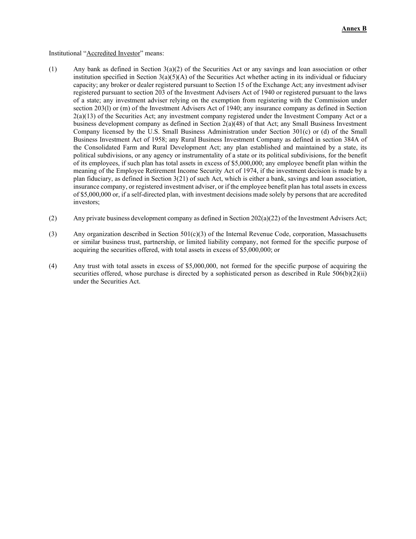#### Institutional "Accredited Investor" means:

- (1) Any bank as defined in Section 3(a)(2) of the Securities Act or any savings and loan association or other institution specified in Section  $3(a)(5)(A)$  of the Securities Act whether acting in its individual or fiduciary capacity; any broker or dealer registered pursuant to Section 15 of the Exchange Act; any investment adviser registered pursuant to section 203 of the Investment Advisers Act of 1940 or registered pursuant to the laws of a state; any investment adviser relying on the exemption from registering with the Commission under section 203(l) or (m) of the Investment Advisers Act of 1940; any insurance company as defined in Section 2(a)(13) of the Securities Act; any investment company registered under the Investment Company Act or a business development company as defined in Section 2(a)(48) of that Act; any Small Business Investment Company licensed by the U.S. Small Business Administration under Section 301(c) or (d) of the Small Business Investment Act of 1958; any Rural Business Investment Company as defined in section 384A of the Consolidated Farm and Rural Development Act; any plan established and maintained by a state, its political subdivisions, or any agency or instrumentality of a state or its political subdivisions, for the benefit of its employees, if such plan has total assets in excess of \$5,000,000; any employee benefit plan within the meaning of the Employee Retirement Income Security Act of 1974, if the investment decision is made by a plan fiduciary, as defined in Section 3(21) of such Act, which is either a bank, savings and loan association, insurance company, or registered investment adviser, or if the employee benefit plan has total assets in excess of \$5,000,000 or, if a self-directed plan, with investment decisions made solely by persons that are accredited investors;
- (2) Any private business development company as defined in Section 202(a)(22) of the Investment Advisers Act;
- (3) Any organization described in Section 501(c)(3) of the Internal Revenue Code, corporation, Massachusetts or similar business trust, partnership, or limited liability company, not formed for the specific purpose of acquiring the securities offered, with total assets in excess of \$5,000,000; or
- (4) Any trust with total assets in excess of \$5,000,000, not formed for the specific purpose of acquiring the securities offered, whose purchase is directed by a sophisticated person as described in Rule 506(b)(2)(ii) under the Securities Act.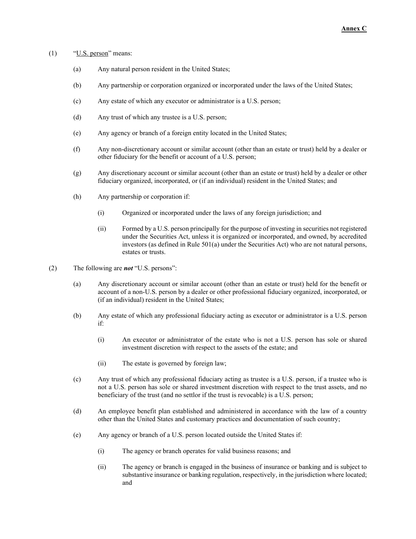# $(1)$  "U.S. person" means:

- (a) Any natural person resident in the United States;
- (b) Any partnership or corporation organized or incorporated under the laws of the United States;
- (c) Any estate of which any executor or administrator is a U.S. person;
- (d) Any trust of which any trustee is a U.S. person;
- (e) Any agency or branch of a foreign entity located in the United States;
- (f) Any non-discretionary account or similar account (other than an estate or trust) held by a dealer or other fiduciary for the benefit or account of a U.S. person;
- (g) Any discretionary account or similar account (other than an estate or trust) held by a dealer or other fiduciary organized, incorporated, or (if an individual) resident in the United States; and
- (h) Any partnership or corporation if:
	- (i) Organized or incorporated under the laws of any foreign jurisdiction; and
	- (ii) Formed by a U.S. person principally for the purpose of investing in securities not registered under the Securities Act, unless it is organized or incorporated, and owned, by accredited investors (as defined in Rule 501(a) under the Securities Act) who are not natural persons, estates or trusts.
- (2) The following are *not* "U.S. persons":
	- (a) Any discretionary account or similar account (other than an estate or trust) held for the benefit or account of a non-U.S. person by a dealer or other professional fiduciary organized, incorporated, or (if an individual) resident in the United States;
	- (b) Any estate of which any professional fiduciary acting as executor or administrator is a U.S. person if:
		- (i) An executor or administrator of the estate who is not a U.S. person has sole or shared investment discretion with respect to the assets of the estate; and
		- (ii) The estate is governed by foreign law;
	- (c) Any trust of which any professional fiduciary acting as trustee is a U.S. person, if a trustee who is not a U.S. person has sole or shared investment discretion with respect to the trust assets, and no beneficiary of the trust (and no settlor if the trust is revocable) is a U.S. person;
	- (d) An employee benefit plan established and administered in accordance with the law of a country other than the United States and customary practices and documentation of such country;
	- (e) Any agency or branch of a U.S. person located outside the United States if:
		- (i) The agency or branch operates for valid business reasons; and
		- (ii) The agency or branch is engaged in the business of insurance or banking and is subject to substantive insurance or banking regulation, respectively, in the jurisdiction where located; and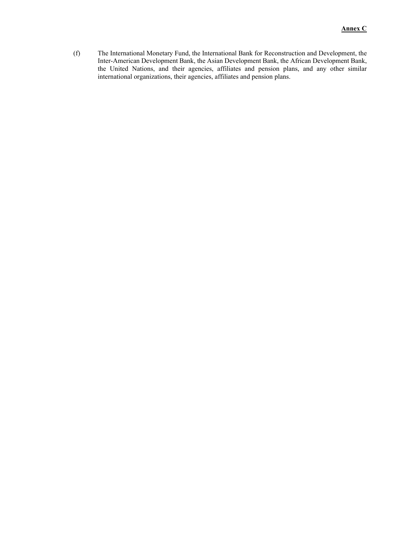(f) The International Monetary Fund, the International Bank for Reconstruction and Development, the Inter-American Development Bank, the Asian Development Bank, the African Development Bank, the United Nations, and their agencies, affiliates and pension plans, and any other similar international organizations, their agencies, affiliates and pension plans.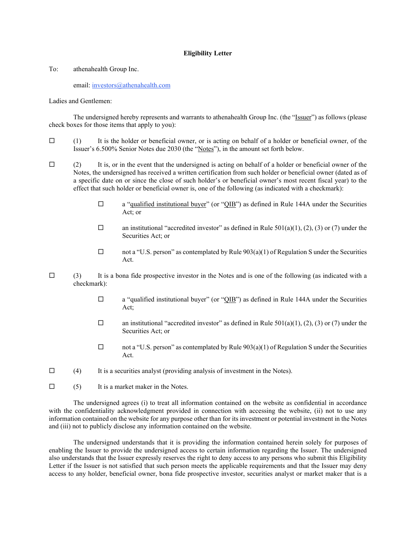# **Eligibility Letter**

To: athenahealth Group Inc.

email: [investors@athenahealth.com](mailto:investors@athenahealth.com)

Ladies and Gentlemen:

The undersigned hereby represents and warrants to athenahealth Group Inc. (the "Issuer") as follows (please check boxes for those items that apply to you):

- $\Box$  (1) It is the holder or beneficial owner, or is acting on behalf of a holder or beneficial owner, of the Issuer's 6.500% Senior Notes due 2030 (the "Notes"), in the amount set forth below.
- $\Box$  (2) It is, or in the event that the undersigned is acting on behalf of a holder or beneficial owner of the Notes, the undersigned has received a written certification from such holder or beneficial owner (dated as of a specific date on or since the close of such holder's or beneficial owner's most recent fiscal year) to the effect that such holder or beneficial owner is, one of the following (as indicated with a checkmark):
	- $\Box$  a "qualified institutional buyer" (or "QIB") as defined in Rule 144A under the Securities Act; or
	- $\square$  an institutional "accredited investor" as defined in Rule 501(a)(1), (2), (3) or (7) under the Securities Act; or
	- $\Box$  not a "U.S. person" as contemplated by Rule 903(a)(1) of Regulation S under the Securities Act.
- $\Box$  (3) It is a bona fide prospective investor in the Notes and is one of the following (as indicated with a checkmark):
	- $\Box$  a "qualified institutional buyer" (or "QIB") as defined in Rule 144A under the Securities Act;
	- $\Box$  an institutional "accredited investor" as defined in Rule 501(a)(1), (2), (3) or (7) under the Securities Act; or
	- $\Box$  not a "U.S. person" as contemplated by Rule 903(a)(1) of Regulation S under the Securities Act.
- $\Box$  (4) It is a securities analyst (providing analysis of investment in the Notes).
- $\Box$  (5) It is a market maker in the Notes.

The undersigned agrees (i) to treat all information contained on the website as confidential in accordance with the confidentiality acknowledgment provided in connection with accessing the website, (ii) not to use any information contained on the website for any purpose other than for its investment or potential investment in the Notes and (iii) not to publicly disclose any information contained on the website.

The undersigned understands that it is providing the information contained herein solely for purposes of enabling the Issuer to provide the undersigned access to certain information regarding the Issuer. The undersigned also understands that the Issuer expressly reserves the right to deny access to any persons who submit this Eligibility Letter if the Issuer is not satisfied that such person meets the applicable requirements and that the Issuer may deny access to any holder, beneficial owner, bona fide prospective investor, securities analyst or market maker that is a